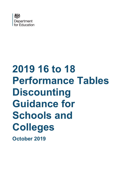

# **2019 16 to 18 Performance Tables Discounting Guidance for Schools and Colleges October 2019**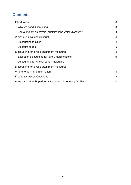# **Contents**

| Introduction                                                 | 3              |  |
|--------------------------------------------------------------|----------------|--|
| Why we need discounting                                      | 3              |  |
| Can a student do several qualifications which discount?      | 3              |  |
| Which qualifications discount?                               | 4              |  |
| <b>Discounting families</b>                                  | $\overline{4}$ |  |
| Discount codes                                               | 5              |  |
| Discounting for level 3 attainment measures                  | 5              |  |
| Exception discounting for level 3 qualifications             | 6              |  |
| Discounting for A level cohort indicators                    | $\overline{7}$ |  |
| Discounting for level 2 attainment measures                  | $\overline{7}$ |  |
| Where to get more information                                | 8              |  |
| <b>Frequently Asked Questions</b>                            | 8              |  |
| Annex $A - 16$ to 18 performance tables discounting families |                |  |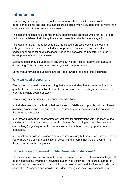# <span id="page-2-0"></span>**Introduction**

Discounting is an important part of the performance tables as it defines how the performance points and size of a subject are selected when a student entered more than one qualification in the same subject area.

This document contains guidance on how qualifications are discounted for the 16 to 18 performance tables. A similar guidance document is available for key stage 4.

This document is an introduction to how the discount process works in school and college performance measures. It does not provide a comprehensive list of discount codes and families for all qualifications, nor does it consider the background to the development of the coding system.

Discount codes may be updated at any time during the year to improve the quality of discounting. This can affect the current cycle without prior notice.

Some frequently asked questions are provided towards the end of this document.

### <span id="page-2-1"></span>**Why we need discounting**

Discounting is primarily about ensuring that where a student has taken more than one qualification in the same subject area, the performance tables only give credit once for teaching a single course of study.

Discounting may be required in a number of situations:

a. A student resits a qualification before the end of 16-18 study, possibly with a different awarding organisation. Discounting then ensures that only the best result is counted in the performance tables.

b. A larger qualification incorporates several smaller qualifications within it. Many of the vocational qualifications are structured in this way. Discounting ensures that only the overarching (largest) qualification counts toward the school or college performance measures.

c. The school or college provides a single course of study but then enters the students for two or more very similar qualifications. Discounting ensures that the achievement from this course is counted only once.

## <span id="page-2-2"></span>**Can a student do several qualifications which discount?**

The discounting process only affects performance measures for schools and colleges. It does not affect the awards an individual student has achieved. There are a number of educational reasons why a student might undertake several qualifications which discount each other. A common one would be in order to recognise their progression through a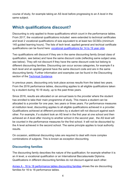course of study, for example taking an AS level before progressing to an A level in the same subject.

# <span id="page-3-0"></span>**Which qualifications discount?**

Discounting is only applied to those qualifications which count in the performance tables. From 2017, the vocational qualifications included were extended to technical certificates and level 2 vocational qualifications of size equivalent to at least two GCSEs (minimum 145 guided learning hours). The lists of tech level, applied general and techical certificate qualifications can be found here: [vocational qualifications for 14 to 19 year olds.](https://www.gov.uk/government/collections/performance-tables-technical-and-vocational-qualifications)

Two qualifications will discount if they are in the same discounting family (broad class of qualification, see below) and have the same discount code (reflecting same subject area, see below). They will not discount if they have the same discount code but belong to different discounting families. Discounting can occur across categories, for example if a tech level and an applied general have the same discount code and are in the same discounting family. Further information and examples can be found in the Discounting section of the [Technical Guidance.](https://www.gov.uk/government/publications/16-to-19-accountability-headline-measures-technical-guide)

In previous years, discounting only took place across results from the latest two years. From the 2016 performance tables, discounting applies to all eligible qualifications taken by a student during 16-18 study, up to the past three years.

Since 2016, results are allocated on an annual basis to the provider where the student has enrolled to take their main programme of study. This means a student can be allocated to a provider for one year, two years or three years. For performance measures at institution level, discounting applies to all eligible qualifications achieved in a provider. Qualifications achieved at different providers by a student will not discount against each other. For example, if a student took an AS level in the first year at one school and then achieved an A level after moving to another school in the second year, the AS level will be counted in the performance measures for the first school. It will not be discounted by the A level achieved in the second school. The same principle applies to local authority results.

On occasion, additional discounting rules are required to deal with more complex combinations of subjects. This is known as exception discounting.

## <span id="page-3-1"></span>**Discounting families**

The discounting family describes the nature of the qualification; for example whether it is an A level, a vocational qualification or an International Baccalaureate Diploma. Qualifications in different discounting families do not discount against each other.

Annex A - 16 to [18 performance tables discounting families](#page-9-0) shows the six discounting families for 16 to 18 performance tables.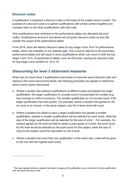## <span id="page-4-0"></span>**Discount codes**

-

A qualification is assigned a discount code on the basis of the subject area it covers. The purpose of a discount code is to gather qualifications with similar content together and compare them to the other qualifications with that code.

Only qualifications that contribute to the performance tables are allocated discount codes. Qualifications at level 4 and above are not given discount codes as they fall outside the scope of the performance tables.

From 2014, there are distinct discount codes for key stage 4 and 16 to 18 performance tables, which are available on our website [here.](https://www.gov.uk/government/publications/16-to-19-qualifications-discount-codes-and-point-scores) This is due to reforms to the secondary performance tables and will result in some qualifications which can count in both the key stage 4 and 16 to 18 performance tables, such as AS levels, having one discount code for key stage 4 and another for 16 to 18.

# <span id="page-4-1"></span>**Discounting for level 3 attainment measures**

When two (or more) level 3 qualifications are known to have the same discount code *and* belong to the same discounting family, the following principles are applied to determine which one(s) is(are) discounted.

- a. Where a student has entered qualifications of different sizes and passed the larger qualification, the larger qualification is counted since it incorporates the smaller (e.g. has modules or units in common). The smaller qualification is not counted (even if the larger qualification has less points). For example, where a student has gained an AS en route to an A level, in the same subject, only the A level result will count.
- b. Where a student has failed to pass a larger qualification but passed a smaller qualification, passes in smaller qualifications will be selected for point score, while the size of the larger qualification will be selected for the size of entry<sup>[1](#page-4-2)</sup>. For example, if a student gained an AS level but fails to obtain a pass grade at A level, the point score for AS level would be selected as the point score for the subject, while the size of entry to the subject would be equivalent to one A level.
- c. Where a student has more than one qualification of the same size, credit will be given to the one with the highest point score.

<span id="page-4-2"></span><sup>1</sup> This also applies where a student has taken a legacy AS qualification and a reformed A level qualification with the same discount code.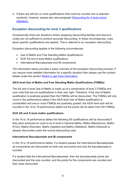d. If there are still two or more qualifications that could be counted one is selected randomly; however, please also see paragraph **Discounting for A level cohort** [indicators.](#page-6-0)

## <span id="page-5-0"></span>**Exception discounting for level 3 qualifications**

Occassionally there are situations where assigning discounting families and discount codes are not sufficient to achieve accurate discounting. In these circumstances, rules about specific qualifications are applied. This is referred to as 'exception discounting'.

Exception discounting applies in the following circumstances:

- Use of Maths and Free Standing Maths Qualifications
- GCE AS and A level Maths qualifications
- International Baccalaureate and IB components

The information below provides a basic overview of the exception discounting process. If you require more detailed information for a specific situation then please use the contact details under the section [Where to get more information](#page-7-0) .

#### **AS/A level Use of Maths and Free Standing Maths Qualifications (FSMQs)**

The AS and A level Use of Maths is made up of a combination of level 3 FSMQs and core units that are not qualifications in their own right. Therefore, if the Use of Maths qualification is positively graded then the FSMQs will be discounted. The FSMQs will only count in the performance tables if the AS/A level Use of Maths qualification is unclassified and one or more FSMQs are positively graded; the AS/A level size will be counted in the 16 to 18 performance tables but the points will be taken from the FSMQs.

#### **GCE AS and A level maths qualifications**

In the 16 to 18 performance tables the following AS qualifications will be discounted if they were achieved en route to an A level in General Maths: Maths (Mechanics), Maths (Pure), Maths (Discrete), Maths (Applied) and Maths (Statistics). Maths (General) is already discounted under the normal discounting rules.

#### **International Baccalaureate and IB components**

In the 16 to 18 performance tables, if a student passes the International Baccalaureate, all components are discounted on both size and points and only the baccalaureate is counted.

If a student fails the International Baccalaureate, then the baccalaureate points are discounted and the size counted, and the points for the components are counted and their sizes discounted.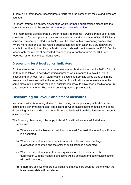If there is no International Baccalaureate result then the component results and sizes are counted.

For more information on how discounting works for these qualifications please use the contact details under the section [Where to get more information.](#page-7-0)

The International Baccalaureate Career-related Programme (IBCP) is made up of a core consisting of four components, a career-related study and a minimum of two IB Diploma courses. The career related qualification can be taken with any awarding organisation. Where more than one career related qualification has been taken by a student we are unable to confidently identify qualifications which should count towards the IBCP. For this reason only the results of accredited component qualifications within the IBCP are reported, rather than the certificate itself.

## <span id="page-6-0"></span>**Discounting for A level cohort indicators**

For the introduction of a new group of A level-only cohort indicators in the 2012 16 to 18 performance tables, a new discounting approach was introduced to avoid a Pre-U discounting an A level result. Qualification discounting normally takes place within the same subject area and within the same family of qualifications. As A levels are in the same discounting family as the Pre-U qualification, it would have been possible for a Pre-U to discount an A level. The new discounting method prevents this.

# <span id="page-6-1"></span>**Discounting for level 2 attainment measures**

In common with discounting at level 3, discounting only applies to qualifications which count in the performance tables, and occurs between qualifications that fall in the same discounting family and discount code. Note, a failed level 3 qualification cannot discount a level 2 pass.

The following discounting rules apply to level 2 qualifications in level 2 attainment measures:

- a) Where a student achieved a qualification in level 3 as well, the level 2 qualification is discounted;
- b) Where a student has entered qualifications in different sizes, the larger qualification is counted and the smaller qualification is discounted;
- c) Where a student has more than one qualification of the same size, the qualification with the highest point score will be selected and other qualifications will be discounted:
- d) If there are still two or more qualifications that could be counted, the one with the latest award date will be selected.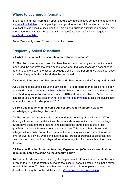# <span id="page-7-0"></span>**Where to get more information**

If you require further information about specific scenarios, please contact the department at [contact us helpline.](http://www.education.gov.uk/help/contactus/dfe) It is helpful if you can provide as much information about the qualifications as possible, including the 8 digit alpha-numeric qualification number. This can be found on Ofqual's 'Register of Regulated Qualifications' website: [regulated](http://register.ofqual.gov.uk/)  [qualifications register.](http://register.ofqual.gov.uk/) 

Some 'Frequently Asked Questions' are given below.

# <span id="page-7-1"></span>**Frequently Asked Questions**

#### **Q1 What is the impact of discounting on a student's results?**

**A1** The discounting system described here has no impact on any student – it is about measuring the performance of the school or college. If qualifications do discount each other this will reflect on the school or college's score in the performance tables but does not affect the qualifications the student has achieved.

#### **Q2 How do I find out the discount code and discounting family for a qualification?**

**A2** Discount codes and discounting families for 16 to 18 performance tables have been published on the [performance tables website.](https://www.gov.uk/government/publications/16-to-19-qualifications-discount-codes-and-point-scores) Please note that discount codes are not published for qualifications reported prior to 2018 performance tables. Please use the contact details under the section [Where to get more information](#page-7-0) quoting the qualification number for discount codes prior to 2018.

#### **Q3 Two qualifications in the same subject area require different skills or knowledge, why do they discount?**

**A3** The purpose of discounting is to prevent double counting of qualifications. When dealing with vocational qualifications, those awards whose units contribute to a larger award have been gathered together and allocated the same code as the larger qualification where this seems reasonable to do so. This means that schools and colleges will correctly receive the points for the largest qualification and not for all the smaller awards as well. By making sure that the largest appropriate qualification has been claimed the school or college will receive recognition for the teaching they have delivered.

#### **Q4 The specification from the Awarding Organisation (AO) has a classification code on it. Is this the same as the discount code?**

**A4** Discount codes are determined by the Department for Education and while the code given on the AO specification may match the discount code allocated this is not a formal record of the code. To check whether two qualifications discount please contact the department using the contact details under [Where to get more information.](#page-7-0)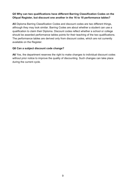#### **Q5 Why can two qualifications have different Barring Classification Codes on the Ofqual Register, but discount one another in the 16 to 18 performance tables?**

**A5** Diploma Barring Classification Codes and discount codes are two different things, although they may look similar. Barring Codes are about whether a student can use a qualification to claim their Diploma. Discount codes reflect whether a school or college should be awarded performance tables points for their teaching of the two qualifications. The performance tables are derived only from discount codes, which are not currently available on the Register.

#### **Q6 Can a subject discount code change?**

A6 Yes, the department reserves the right to make changes to individual discount codes without prior notice to improve the quality of discounting. Such changes can take place during the current cycle.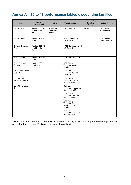# <span id="page-9-0"></span>**Annex A – 16 to 18 performance tables discounting families**

| General                                        | General<br><b>Vocational</b>            | <b>AEA</b>                     | <b>Vocationally related</b>                                                    | Free<br><b>Standing</b><br><b>Maths</b> | <b>Other General</b>                             |
|------------------------------------------------|-----------------------------------------|--------------------------------|--------------------------------------------------------------------------------|-----------------------------------------|--------------------------------------------------|
| <b>GCE A Level</b>                             | Applied GCE A<br>level Double<br>Award  | Advanced<br>Extension<br>Award | VRQ Level 2 and 3*                                                             | Level 3                                 | International<br>Baccalaureate                   |
| <b>GCE AS level</b>                            | Applied GCE A<br>level                  |                                | <b>BTEC Diploma Level</b><br>$1/2$ , 2 and 3                                   |                                         | Other General<br>qualifications Level 2<br>and 3 |
| Diploma Extended<br>Project                    | Applied GCE AS<br>level Double<br>Award |                                | <b>BTEC Certificate Level</b><br>$1/2$ , 2 and 3                               |                                         |                                                  |
| Pre U Diploma                                  | Applied GCE AS<br>level                 |                                | <b>BTEC Award Level 3</b>                                                      |                                         |                                                  |
| Pre U Principal<br>Subject                     | Applied GCE A<br>level / AS<br>combined |                                | <b>OCR Cambridge</b><br><b>Technical Certificate</b><br>Level 3                |                                         |                                                  |
| Pre U Short Course<br>Subject                  |                                         |                                | OCR Cambridge<br><b>Technical Diploma</b><br>Level 2 and 3                     |                                         |                                                  |
| <b>Principal Learning</b><br>(Diploma) Level 3 |                                         |                                | <b>OCR Cambridge</b><br><b>Technical Extended</b><br>Diploma Level 3           |                                         |                                                  |
| Core Maths (Level<br>3)                        |                                         |                                | <b>OCR Cambridge</b><br><b>Technical Introductory</b><br>Diploma Level 3       |                                         |                                                  |
|                                                |                                         |                                | OCR Cambridge<br><b>Technical Subsidiary</b><br>Diploma Level 3                |                                         |                                                  |
|                                                |                                         |                                | OCR Cambridge<br><b>Technical Extended</b><br>Certificate Level 2 &<br>Level 3 |                                         |                                                  |
|                                                |                                         |                                | OCR Cambridge<br><b>Technical Foundation</b><br>Diploma Level 3                |                                         |                                                  |

\*Please note that Level 2 and Level 3 VRQs can be of a variety of sizes and may therefore be equivalent to or smaller than other qualifications in the same discounting family.